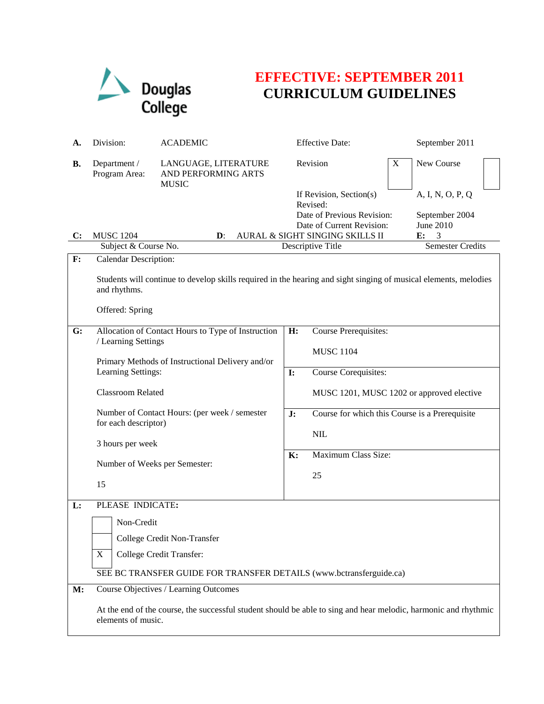

## **EFFECTIVE: SEPTEMBER 2011 CURRICULUM GUIDELINES**

| А.             | Division:                                                                                                                                           | <b>Effective Date:</b><br><b>ACADEMIC</b>                                                                       |                                           |                                                                                                | September 2011 |                                                 |  |
|----------------|-----------------------------------------------------------------------------------------------------------------------------------------------------|-----------------------------------------------------------------------------------------------------------------|-------------------------------------------|------------------------------------------------------------------------------------------------|----------------|-------------------------------------------------|--|
| В.             | Department /<br>Program Area:                                                                                                                       | LANGUAGE, LITERATURE<br>AND PERFORMING ARTS<br><b>MUSIC</b>                                                     |                                           | Revision                                                                                       | X              | New Course                                      |  |
|                |                                                                                                                                                     |                                                                                                                 |                                           | If Revision, Section(s)<br>Revised:<br>Date of Previous Revision:<br>Date of Current Revision: |                | A, I, N, O, P, Q<br>September 2004<br>June 2010 |  |
| $\mathbf{C}$ : | <b>MUSC 1204</b>                                                                                                                                    | $\mathbf{D}$ :                                                                                                  |                                           | AURAL & SIGHT SINGING SKILLS II                                                                |                | 3<br>E:                                         |  |
| $\mathbf{F}$ : | Subject & Course No.<br>Calendar Description:                                                                                                       |                                                                                                                 |                                           | Descriptive Title                                                                              |                | <b>Semester Credits</b>                         |  |
|                | Students will continue to develop skills required in the hearing and sight singing of musical elements, melodies<br>and rhythms.<br>Offered: Spring |                                                                                                                 |                                           |                                                                                                |                |                                                 |  |
| G:             | Allocation of Contact Hours to Type of Instruction<br>/ Learning Settings<br>Primary Methods of Instructional Delivery and/or<br>Learning Settings: |                                                                                                                 | H:                                        | <b>Course Prerequisites:</b><br><b>MUSC 1104</b>                                               |                |                                                 |  |
|                |                                                                                                                                                     |                                                                                                                 | $\mathbf{I}$ :                            | Course Corequisites:                                                                           |                |                                                 |  |
|                | Classroom Related                                                                                                                                   |                                                                                                                 | MUSC 1201, MUSC 1202 or approved elective |                                                                                                |                |                                                 |  |
|                | Number of Contact Hours: (per week / semester<br>for each descriptor)<br>3 hours per week<br>Number of Weeks per Semester:                          |                                                                                                                 | J:                                        | Course for which this Course is a Prerequisite                                                 |                |                                                 |  |
|                |                                                                                                                                                     |                                                                                                                 |                                           | NIL                                                                                            |                |                                                 |  |
|                |                                                                                                                                                     |                                                                                                                 | $\mathbf{K}$ :                            | Maximum Class Size:                                                                            |                |                                                 |  |
|                |                                                                                                                                                     |                                                                                                                 |                                           | 25                                                                                             |                |                                                 |  |
|                | 15                                                                                                                                                  |                                                                                                                 |                                           |                                                                                                |                |                                                 |  |
| L:             | PLEASE INDICATE:                                                                                                                                    |                                                                                                                 |                                           |                                                                                                |                |                                                 |  |
|                | Non-Credit                                                                                                                                          |                                                                                                                 |                                           |                                                                                                |                |                                                 |  |
|                |                                                                                                                                                     | College Credit Non-Transfer                                                                                     |                                           |                                                                                                |                |                                                 |  |
|                | $\mathbf X$                                                                                                                                         | College Credit Transfer:                                                                                        |                                           |                                                                                                |                |                                                 |  |
|                | SEE BC TRANSFER GUIDE FOR TRANSFER DETAILS (www.bctransferguide.ca)                                                                                 |                                                                                                                 |                                           |                                                                                                |                |                                                 |  |
| M:             |                                                                                                                                                     | Course Objectives / Learning Outcomes                                                                           |                                           |                                                                                                |                |                                                 |  |
|                | elements of music.                                                                                                                                  | At the end of the course, the successful student should be able to sing and hear melodic, harmonic and rhythmic |                                           |                                                                                                |                |                                                 |  |